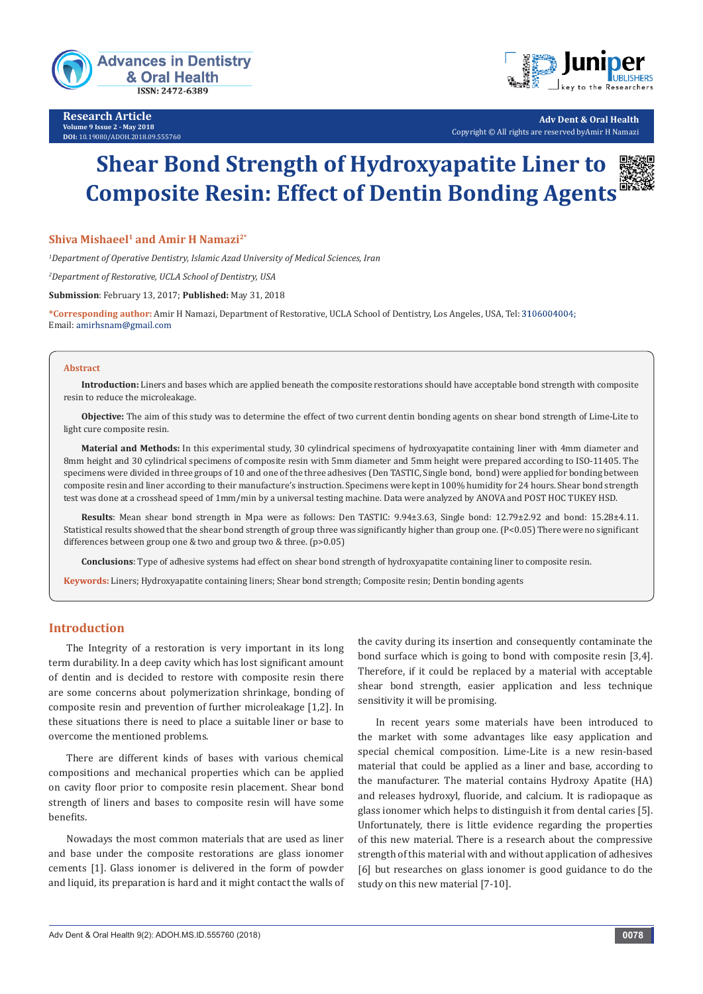

**Research Article Volume 9 Issue 2 - May 2018 DOI:** [10.19080/ADOH.2018.09.555760](http://dx.doi.org/10.19080/ADOH.2018.09.555760)



**Adv Dent & Oral Health** Copyright © All rights are reserved byAmir H Namazi

# **Shear Bond Strength of Hydroxyapatite Liner to Composite Resin: Effect of Dentin Bonding Agents**

#### **Shiva Mishaeel<sup>1</sup> and Amir H Namazi<sup>2\*</sup>**

*1 Department of Operative Dentistry, Islamic Azad University of Medical Sciences, Iran*

*2 Department of Restorative, UCLA School of Dentistry, USA*

**Submission**: February 13, 2017; **Published:** May 31, 2018

**\*Corresponding author:** Amir H Namazi, Department of Restorative, UCLA School of Dentistry, Los Angeles, USA, Tel: Email: amirhsnam@gmail.com

#### **Abstract**

**Introduction:** Liners and bases which are applied beneath the composite restorations should have acceptable bond strength with composite resin to reduce the microleakage.

**Objective:** The aim of this study was to determine the effect of two current dentin bonding agents on shear bond strength of Lime-Lite to light cure composite resin.

**Material and Methods:** In this experimental study, 30 cylindrical specimens of hydroxyapatite containing liner with 4mm diameter and 8mm height and 30 cylindrical specimens of composite resin with 5mm diameter and 5mm height were prepared according to ISO-11405. The specimens were divided in three groups of 10 and one of the three adhesives (Den TASTIC, Single bond, bond) were applied for bonding between composite resin and liner according to their manufacture's instruction. Specimens were kept in 100% humidity for 24 hours. Shear bond strength test was done at a crosshead speed of 1mm/min by a universal testing machine. Data were analyzed by ANOVA and POST HOC TUKEY HSD.

**Results**: Mean shear bond strength in Mpa were as follows: Den TASTIC: 9.94±3.63, Single bond: 12.79±2.92 and bond: 15.28±4.11. Statistical results showed that the shear bond strength of group three was significantly higher than group one. (P<0.05) There were no significant differences between group one & two and group two & three. (p>0.05)

**Conclusions**: Type of adhesive systems had effect on shear bond strength of hydroxyapatite containing liner to composite resin.

**Keywords:** Liners; Hydroxyapatite containing liners; Shear bond strength; Composite resin; Dentin bonding agents

## **Introduction**

The Integrity of a restoration is very important in its long term durability. In a deep cavity which has lost significant amount of dentin and is decided to restore with composite resin there are some concerns about polymerization shrinkage, bonding of composite resin and prevention of further microleakage [1,2]. In these situations there is need to place a suitable liner or base to overcome the mentioned problems.

There are different kinds of bases with various chemical compositions and mechanical properties which can be applied on cavity floor prior to composite resin placement. Shear bond strength of liners and bases to composite resin will have some benefits.

Nowadays the most common materials that are used as liner and base under the composite restorations are glass ionomer cements [1]. Glass ionomer is delivered in the form of powder and liquid, its preparation is hard and it might contact the walls of the cavity during its insertion and consequently contaminate the bond surface which is going to bond with composite resin [3,4]. Therefore, if it could be replaced by a material with acceptable shear bond strength, easier application and less technique sensitivity it will be promising.

In recent years some materials have been introduced to the market with some advantages like easy application and special chemical composition. Lime-Lite is a new resin-based material that could be applied as a liner and base, according to the manufacturer. The material contains Hydroxy Apatite (HA) and releases hydroxyl, fluoride, and calcium. It is radiopaque as glass ionomer which helps to distinguish it from dental caries [5]. Unfortunately, there is little evidence regarding the properties of this new material. There is a research about the compressive strength of this material with and without application of adhesives [6] but researches on glass ionomer is good guidance to do the study on this new material [7-10].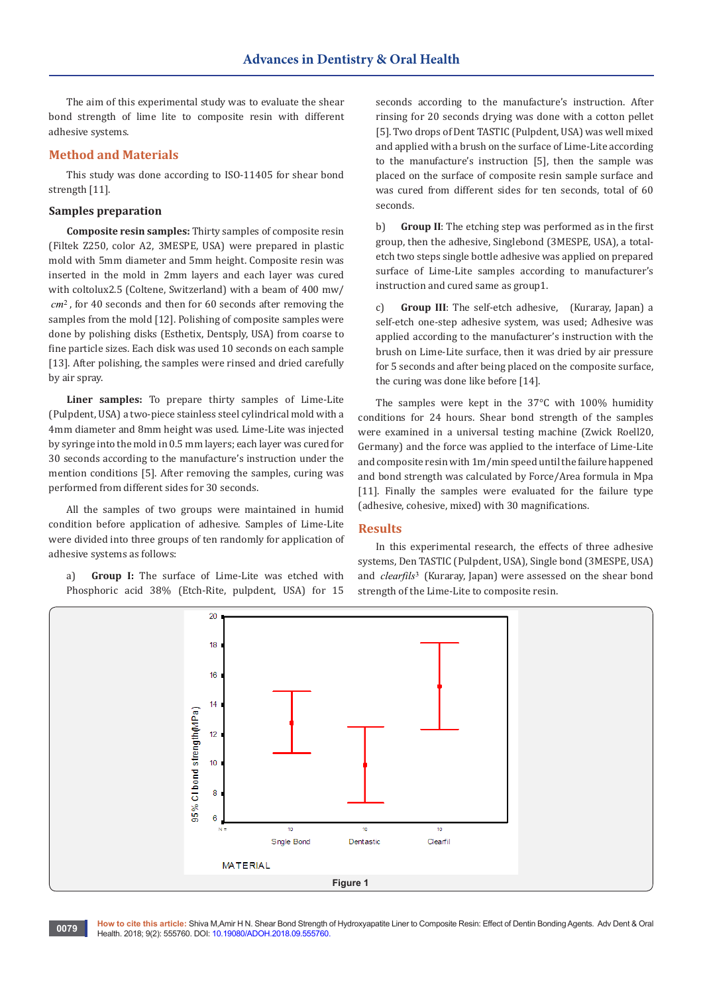The aim of this experimental study was to evaluate the shear bond strength of lime lite to composite resin with different adhesive systems.

#### **Method and Materials**

This study was done according to ISO-11405 for shear bond strength [11].

#### **Samples preparation**

**Composite resin samples:** Thirty samples of composite resin (Filtek Z250, color A2, 3MESPE, USA) were prepared in plastic mold with 5mm diameter and 5mm height. Composite resin was inserted in the mold in 2mm layers and each layer was cured with coltolux2.5 (Coltene, Switzerland) with a beam of 400 mw/ *cm*<sup>2</sup>, for 40 seconds and then for 60 seconds after removing the samples from the mold [12]. Polishing of composite samples were done by polishing disks (Esthetix, Dentsply, USA) from coarse to fine particle sizes. Each disk was used 10 seconds on each sample [13]. After polishing, the samples were rinsed and dried carefully by air spray.

**Liner samples:** To prepare thirty samples of Lime-Lite (Pulpdent, USA) a two-piece stainless steel cylindrical mold with a 4mm diameter and 8mm height was used. Lime-Lite was injected by syringe into the mold in 0.5 mm layers; each layer was cured for 30 seconds according to the manufacture's instruction under the mention conditions [5]. After removing the samples, curing was performed from different sides for 30 seconds.

All the samples of two groups were maintained in humid condition before application of adhesive. Samples of Lime-Lite were divided into three groups of ten randomly for application of adhesive systems as follows:

a) **Group I:** The surface of Lime-Lite was etched with Phosphoric acid 38% (Etch-Rite, pulpdent, USA) for 15

seconds according to the manufacture's instruction. After rinsing for 20 seconds drying was done with a cotton pellet [5]. Two drops of Dent TASTIC (Pulpdent, USA) was well mixed and applied with a brush on the surface of Lime-Lite according to the manufacture's instruction [5], then the sample was placed on the surface of composite resin sample surface and was cured from different sides for ten seconds, total of 60 seconds.

b) **Group II**: The etching step was performed as in the first group, then the adhesive, Singlebond (3MESPE, USA), a totaletch two steps single bottle adhesive was applied on prepared surface of Lime-Lite samples according to manufacturer's instruction and cured same as group1.

c) **Group III**: The self-etch adhesive, (Kuraray, Japan) a self-etch one-step adhesive system, was used; Adhesive was applied according to the manufacturer's instruction with the brush on Lime-Lite surface, then it was dried by air pressure for 5 seconds and after being placed on the composite surface, the curing was done like before [14].

The samples were kept in the 37°C with 100% humidity conditions for 24 hours. Shear bond strength of the samples were examined in a universal testing machine (Zwick Roell20, Germany) and the force was applied to the interface of Lime-Lite and composite resin with 1m/min speed until the failure happened and bond strength was calculated by Force/Area formula in Mpa [11]. Finally the samples were evaluated for the failure type (adhesive, cohesive, mixed) with 30 magnifications.

## **Results**

In this experimental research, the effects of three adhesive systems, Den TASTIC (Pulpdent, USA), Single bond (3MESPE, USA) and *clearfils*<sup>3</sup> (Kuraray, Japan) were assessed on the shear bond strength of the Lime-Lite to composite resin.

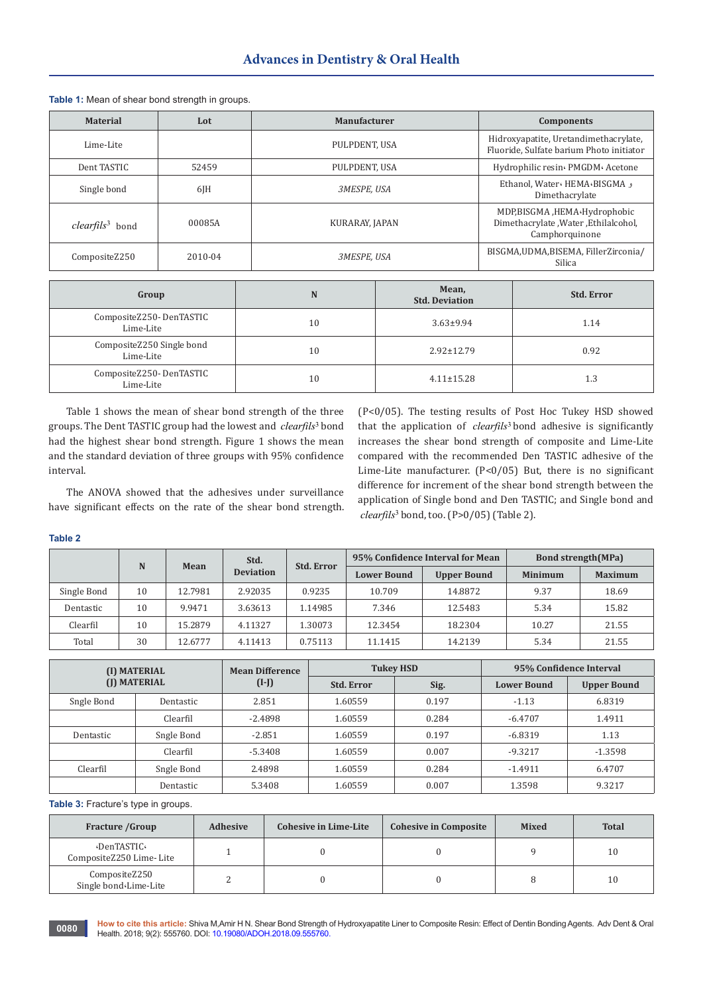| <b>Material</b>                    | Lot       | <b>Manufacturer</b>       | <b>Components</b>                                                                        |
|------------------------------------|-----------|---------------------------|------------------------------------------------------------------------------------------|
| Lime-Lite                          |           | PULPDENT, USA             | Hidroxyapatite, Uretandimethacrylate,<br>Fluoride, Sulfate barium Photo initiator        |
| Dent TASTIC                        | 52459     | PULPDENT, USA             | Hydrophilic resin« PMGDM« Acetone                                                        |
| Single bond                        | $6$ J $H$ | <i><b>3MESPE, USA</b></i> | Ethanol, Water HEMA BISGMA<br>Dimethacrylate                                             |
| <i>clearfils</i> <sup>3</sup> bond | 00085A    | KURARAY, JAPAN            | MDP,BISGMA, HEMA Hydrophobic<br>Dimethacrylate , Water , Ethilalcohol,<br>Camphorquinone |
| CompositeZ250                      | 2010-04   | <i><b>3MESPE, USA</b></i> | BISGMA, UDMA, BISEMA, Filler Zirconia/<br>Silica                                         |

**Table 1:** Mean of shear bond strength in groups.

| Group                                  | N  | Mean,<br><b>Std. Deviation</b> | <b>Std. Error</b> |
|----------------------------------------|----|--------------------------------|-------------------|
| CompositeZ250-DenTASTIC<br>Lime-Lite   | 10 | $3.63 \pm 9.94$                | 1.14              |
| CompositeZ250 Single bond<br>Lime-Lite | 10 | $2.92 \pm 12.79$               | 0.92              |
| CompositeZ250-DenTASTIC<br>Lime-Lite   | 10 | $4.11 \pm 15.28$               | 1.3               |

Table 1 shows the mean of shear bond strength of the three groups. The Dent TASTIC group had the lowest and *clearfils*<sup>3</sup> bond had the highest shear bond strength. Figure 1 shows the mean and the standard deviation of three groups with 95% confidence interval.

The ANOVA showed that the adhesives under surveillance have significant effects on the rate of the shear bond strength.

(P<0/05). The testing results of Post Hoc Tukey HSD showed that the application of *clearfils*<sup>3</sup> bond adhesive is significantly increases the shear bond strength of composite and Lime-Lite compared with the recommended Den TASTIC adhesive of the Lime-Lite manufacturer. (P<0/05) But, there is no significant difference for increment of the shear bond strength between the application of Single bond and Den TASTIC; and Single bond and <sup>3</sup> *clearfils* bond, too. (P>0/05) (Table 2).

**Table 2**

| N           |    | Mean               | Std.<br><b>Deviation</b> | <b>Std. Error</b> | 95% Confidence Interval for Mean |                | <b>Bond strength (MPa)</b> |       |
|-------------|----|--------------------|--------------------------|-------------------|----------------------------------|----------------|----------------------------|-------|
|             |    | <b>Lower Bound</b> |                          |                   | <b>Upper Bound</b>               | <b>Minimum</b> | <b>Maximum</b>             |       |
| Single Bond | 10 | 12.7981            | 2.92035                  | 0.9235            | 10.709                           | 14.8872        | 9.37                       | 18.69 |
| Dentastic   | 10 | 9.9471             | 3.63613                  | 1.14985           | 7.346                            | 12.5483        | 5.34                       | 15.82 |
| Clearfil    | 10 | 15.2879            | 4.11327                  | 1.30073           | 12.3454                          | 18.2304        | 10.27                      | 21.55 |
| Total       | 30 | 12.6777            | 4.11413                  | 0.75113           | 11.1415                          | 14.2139        | 5.34                       | 21.55 |

| (I) MATERIAL<br>(I) MATERIAL |            | <b>Mean Difference</b> |                   | <b>Tukey HSD</b> | 95% Confidence Interval |                    |
|------------------------------|------------|------------------------|-------------------|------------------|-------------------------|--------------------|
|                              |            | $(I-J)$                | <b>Std. Error</b> | Sig.             | <b>Lower Bound</b>      | <b>Upper Bound</b> |
| Sngle Bond                   | Dentastic  | 2.851                  | 1.60559           | 0.197            | $-1.13$                 | 6.8319             |
|                              | Clearfil   | $-2.4898$              | 1.60559           | 0.284            | $-6.4707$               | 1.4911             |
| Dentastic                    | Sngle Bond | $-2.851$               | 1.60559           | 0.197            | $-6.8319$               | 1.13               |
|                              | Clearfil   | $-5.3408$              | 1.60559           | 0.007            | $-9.3217$               | $-1.3598$          |
| Clearfil                     | Sngle Bond | 2.4898                 | 1.60559           | 0.284            | $-1.4911$               | 6.4707             |
|                              | Dentastic  | 5.3408                 | 1.60559           | 0.007            | 1.3598                  | 9.3217             |

**Table 3:** Fracture's type in groups.

| <b>Fracture /Group</b>                 | <b>Adhesive</b> | <b>Cohesive in Lime-Lite</b> | <b>Cohesive in Composite</b> | <b>Mixed</b> | <b>Total</b> |
|----------------------------------------|-----------------|------------------------------|------------------------------|--------------|--------------|
| DenTASTIC.<br>CompositeZ250 Lime-Lite  |                 |                              |                              |              | 10           |
| CompositeZ250<br>Single bond Lime-Lite |                 |                              |                              |              | 10           |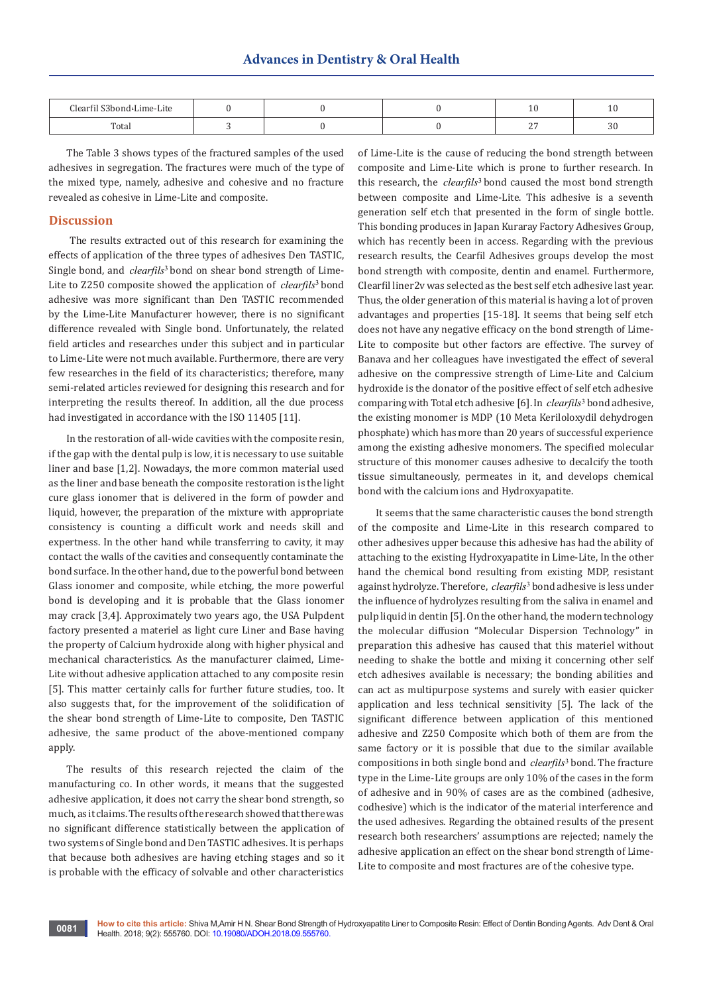| $Cl$ oarfil $C2h$<br>Lime-Lite |  |               | ∸  |
|--------------------------------|--|---------------|----|
| Total                          |  | $\sim$<br>. . | JU |

The Table 3 shows types of the fractured samples of the used adhesives in segregation. The fractures were much of the type of the mixed type, namely, adhesive and cohesive and no fracture revealed as cohesive in Lime-Lite and composite.

## **Discussion**

The results extracted out of this research for examining the effects of application of the three types of adhesives Den TASTIC, Single bond, and *clearfils*<sup>3</sup> bond on shear bond strength of Lime-Lite to Z250 composite showed the application of *clearfils*<sup>3</sup> bond adhesive was more significant than Den TASTIC recommended by the Lime-Lite Manufacturer however, there is no significant difference revealed with Single bond. Unfortunately, the related field articles and researches under this subject and in particular to Lime-Lite were not much available. Furthermore, there are very few researches in the field of its characteristics; therefore, many semi-related articles reviewed for designing this research and for interpreting the results thereof. In addition, all the due process had investigated in accordance with the ISO 11405 [11].

In the restoration of all-wide cavities with the composite resin, if the gap with the dental pulp is low, it is necessary to use suitable liner and base [1,2]. Nowadays, the more common material used as the liner and base beneath the composite restoration is the light cure glass ionomer that is delivered in the form of powder and liquid, however, the preparation of the mixture with appropriate consistency is counting a difficult work and needs skill and expertness. In the other hand while transferring to cavity, it may contact the walls of the cavities and consequently contaminate the bond surface. In the other hand, due to the powerful bond between Glass ionomer and composite, while etching, the more powerful bond is developing and it is probable that the Glass ionomer may crack [3,4]. Approximately two years ago, the USA Pulpdent factory presented a materiel as light cure Liner and Base having the property of Calcium hydroxide along with higher physical and mechanical characteristics. As the manufacturer claimed, Lime-Lite without adhesive application attached to any composite resin [5]. This matter certainly calls for further future studies, too. It also suggests that, for the improvement of the solidification of the shear bond strength of Lime-Lite to composite, Den TASTIC adhesive, the same product of the above-mentioned company apply.

The results of this research rejected the claim of the manufacturing co. In other words, it means that the suggested adhesive application, it does not carry the shear bond strength, so much, as it claims. The results of the research showed that there was no significant difference statistically between the application of two systems of Single bond and Den TASTIC adhesives. It is perhaps that because both adhesives are having etching stages and so it is probable with the efficacy of solvable and other characteristics

of Lime-Lite is the cause of reducing the bond strength between composite and Lime-Lite which is prone to further research. In this research, the *clearfils*<sup>3</sup> bond caused the most bond strength between composite and Lime-Lite. This adhesive is a seventh generation self etch that presented in the form of single bottle. This bonding produces in Japan Kuraray Factory Adhesives Group, which has recently been in access. Regarding with the previous research results, the Cearfil Adhesives groups develop the most bond strength with composite, dentin and enamel. Furthermore, Clearfil liner2v was selected as the best self etch adhesive last year. Thus, the older generation of this material is having a lot of proven advantages and properties [15-18]. It seems that being self etch does not have any negative efficacy on the bond strength of Lime-Lite to composite but other factors are effective. The survey of Banava and her colleagues have investigated the effect of several adhesive on the compressive strength of Lime-Lite and Calcium hydroxide is the donator of the positive effect of self etch adhesive comparing with Total etch adhesive [6]. In *clearfils*<sup>3</sup> bond adhesive, the existing monomer is MDP (10 Meta Keriloloxydil dehydrogen phosphate) which has more than 20 years of successful experience among the existing adhesive monomers. The specified molecular structure of this monomer causes adhesive to decalcify the tooth tissue simultaneously, permeates in it, and develops chemical bond with the calcium ions and Hydroxyapatite.

It seems that the same characteristic causes the bond strength of the composite and Lime-Lite in this research compared to other adhesives upper because this adhesive has had the ability of attaching to the existing Hydroxyapatite in Lime-Lite, In the other hand the chemical bond resulting from existing MDP, resistant against hydrolyze. Therefore, *clearfils*<sup>3</sup> bond adhesive is less under the influence of hydrolyzes resulting from the saliva in enamel and pulp liquid in dentin [5]. On the other hand, the modern technology the molecular diffusion "Molecular Dispersion Technology" in preparation this adhesive has caused that this materiel without needing to shake the bottle and mixing it concerning other self etch adhesives available is necessary; the bonding abilities and can act as multipurpose systems and surely with easier quicker application and less technical sensitivity [5]. The lack of the significant difference between application of this mentioned adhesive and Z250 Composite which both of them are from the same factory or it is possible that due to the similar available compositions in both single bond and *clearfils*<sup>3</sup> bond. The fracture type in the Lime-Lite groups are only 10% of the cases in the form of adhesive and in 90% of cases are as the combined (adhesive, codhesive) which is the indicator of the material interference and the used adhesives. Regarding the obtained results of the present research both researchers' assumptions are rejected; namely the adhesive application an effect on the shear bond strength of Lime-Lite to composite and most fractures are of the cohesive type.